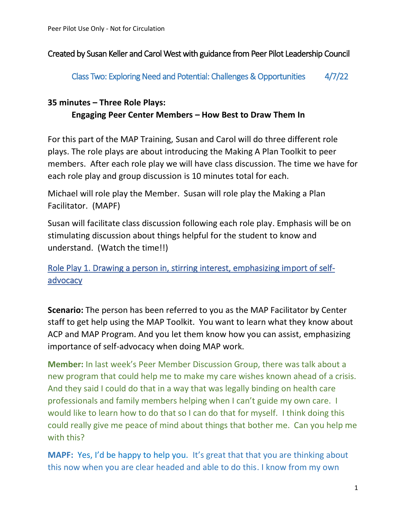### Created by Susan Keller and Carol West with guidance from Peer Pilot Leadership Council

Class Two: Exploring Need and Potential: Challenges & Opportunities 4/7/22

## **35 minutes – Three Role Plays: Engaging Peer Center Members – How Best to Draw Them In**

For this part of the MAP Training, Susan and Carol will do three different role plays. The role plays are about introducing the Making A Plan Toolkit to peer members. After each role play we will have class discussion. The time we have for each role play and group discussion is 10 minutes total for each.

Michael will role play the Member. Susan will role play the Making a Plan Facilitator. (MAPF)

Susan will facilitate class discussion following each role play. Emphasis will be on stimulating discussion about things helpful for the student to know and understand. (Watch the time!!)

Role Play 1. Drawing a person in, stirring interest, emphasizing import of selfadvocacy

**Scenario:** The person has been referred to you as the MAP Facilitator by Center staff to get help using the MAP Toolkit. You want to learn what they know about ACP and MAP Program. And you let them know how you can assist, emphasizing importance of self-advocacy when doing MAP work.

**Member:** In last week's Peer Member Discussion Group, there was talk about a new program that could help me to make my care wishes known ahead of a crisis. And they said I could do that in a way that was legally binding on health care professionals and family members helping when I can't guide my own care. I would like to learn how to do that so I can do that for myself. I think doing this could really give me peace of mind about things that bother me. Can you help me with this?

**MAPF:** Yes, I'd be happy to help you. It's great that that you are thinking about this now when you are clear headed and able to do this. I know from my own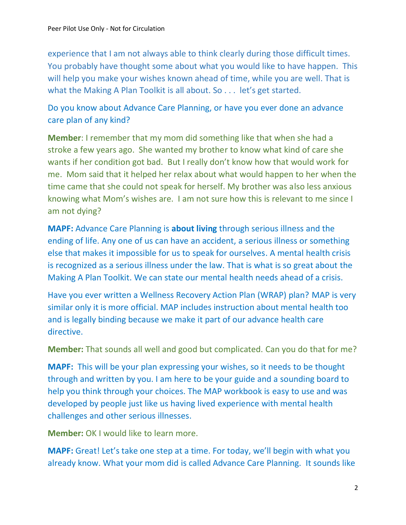experience that I am not always able to think clearly during those difficult times. You probably have thought some about what you would like to have happen. This will help you make your wishes known ahead of time, while you are well. That is what the Making A Plan Toolkit is all about. So . . . let's get started.

Do you know about Advance Care Planning, or have you ever done an advance care plan of any kind?

**Member**: I remember that my mom did something like that when she had a stroke a few years ago. She wanted my brother to know what kind of care she wants if her condition got bad. But I really don't know how that would work for me. Mom said that it helped her relax about what would happen to her when the time came that she could not speak for herself. My brother was also less anxious knowing what Mom's wishes are. I am not sure how this is relevant to me since I am not dying?

**MAPF:** Advance Care Planning is **about living** through serious illness and the ending of life. Any one of us can have an accident, a serious illness or something else that makes it impossible for us to speak for ourselves. A mental health crisis is recognized as a serious illness under the law. That is what is so great about the Making A Plan Toolkit. We can state our mental health needs ahead of a crisis.

Have you ever written a Wellness Recovery Action Plan (WRAP) plan? MAP is very similar only it is more official. MAP includes instruction about mental health too and is legally binding because we make it part of our advance health care directive.

**Member:** That sounds all well and good but complicated. Can you do that for me?

**MAPF:** This will be your plan expressing your wishes, so it needs to be thought through and written by you. I am here to be your guide and a sounding board to help you think through your choices. The MAP workbook is easy to use and was developed by people just like us having lived experience with mental health challenges and other serious illnesses.

**Member:** OK I would like to learn more.

**MAPF:** Great! Let's take one step at a time. For today, we'll begin with what you already know. What your mom did is called Advance Care Planning. It sounds like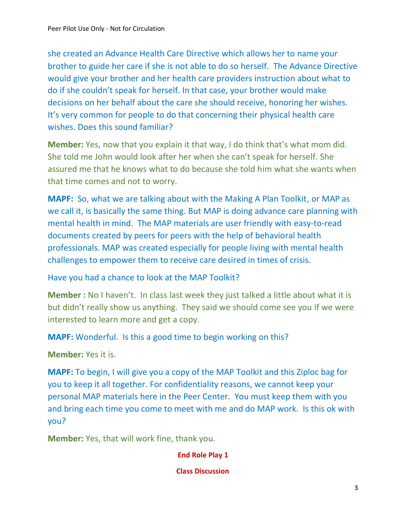she created an Advance Health Care Directive which allows her to name your brother to guide her care if she is not able to do so herself. The Advance Directive would give your brother and her health care providers instruction about what to do if she couldn't speak for herself. In that case, your brother would make decisions on her behalf about the care she should receive, honoring her wishes. It's very common for people to do that concerning their physical health care wishes. Does this sound familiar?

**Member:** Yes, now that you explain it that way, I do think that's what mom did. She told me John would look after her when she can't speak for herself. She assured me that he knows what to do because she told him what she wants when that time comes and not to worry.

**MAPF:** So, what we are talking about with the Making A Plan Toolkit, or MAP as we call it, is basically the same thing. But MAP is doing advance care planning with mental health in mind. The MAP materials are user friendly with easy-to-read documents created by peers for peers with the help of behavioral health professionals. MAP was created especially for people living with mental health challenges to empower them to receive care desired in times of crisis.

Have you had a chance to look at the MAP Toolkit?

**Member :** No I haven't. In class last week they just talked a little about what it is but didn't really show us anything. They said we should come see you if we were interested to learn more and get a copy.

**MAPF:** Wonderful. Is this a good time to begin working on this?

**Member:** Yes it is.

**MAPF:** To begin, I will give you a copy of the MAP Toolkit and this Ziploc bag for you to keep it all together. For confidentiality reasons, we cannot keep your personal MAP materials here in the Peer Center. You must keep them with you and bring each time you come to meet with me and do MAP work. Is this ok with you?

**Member:** Yes, that will work fine, thank you.

**End Role Play 1**

**Class Discussion**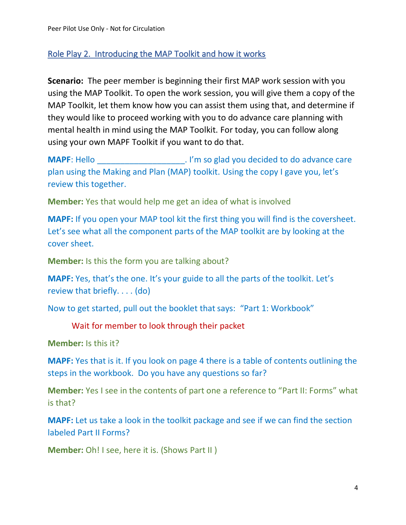### Role Play 2. Introducing the MAP Toolkit and how it works

**Scenario:** The peer member is beginning their first MAP work session with you using the MAP Toolkit. To open the work session, you will give them a copy of the MAP Toolkit, let them know how you can assist them using that, and determine if they would like to proceed working with you to do advance care planning with mental health in mind using the MAP Toolkit. For today, you can follow along using your own MAPF Toolkit if you want to do that.

**MAPF:** Hello **MAPF:** Hello **MAPF:** Hello **MAPF:** Hello **MAPF:** MELLO **MAPF:** MELLO **MAPF:** MELLO **MAPF:** MELLO **MAPF:** MELLO **MAPF:** MELLO **MAPF:** MELLO **MAPF:** MELLO **MAPF:** MELLO **MAPF:** MELLO **MAPF:** MELLO **MAPF:** MELL plan using the Making and Plan (MAP) toolkit. Using the copy I gave you, let's review this together.

**Member:** Yes that would help me get an idea of what is involved

**MAPF:** If you open your MAP tool kit the first thing you will find is the coversheet. Let's see what all the component parts of the MAP toolkit are by looking at the cover sheet.

**Member:** Is this the form you are talking about?

**MAPF:** Yes, that's the one. It's your guide to all the parts of the toolkit. Let's review that briefly. . . . (do)

Now to get started, pull out the booklet that says: "Part 1: Workbook"

#### Wait for member to look through their packet

**Member:** Is this it?

**MAPF:** Yes that is it. If you look on page 4 there is a table of contents outlining the steps in the workbook. Do you have any questions so far?

**Member:** Yes I see in the contents of part one a reference to "Part II: Forms" what is that?

**MAPF:** Let us take a look in the toolkit package and see if we can find the section labeled Part II Forms?

**Member:** Oh! I see, here it is. (Shows Part II )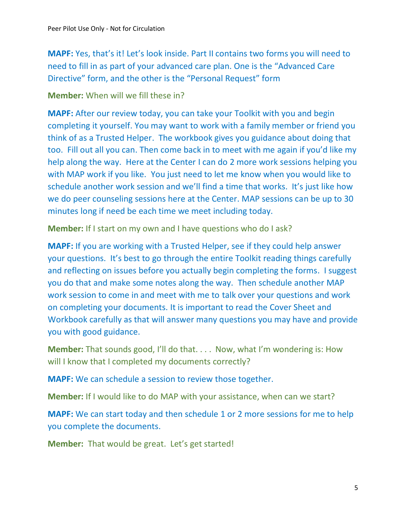**MAPF:** Yes, that's it! Let's look inside. Part II contains two forms you will need to need to fill in as part of your advanced care plan. One is the "Advanced Care Directive" form, and the other is the "Personal Request" form

**Member:** When will we fill these in?

**MAPF:** After our review today, you can take your Toolkit with you and begin completing it yourself. You may want to work with a family member or friend you think of as a Trusted Helper. The workbook gives you guidance about doing that too. Fill out all you can. Then come back in to meet with me again if you'd like my help along the way. Here at the Center I can do 2 more work sessions helping you with MAP work if you like. You just need to let me know when you would like to schedule another work session and we'll find a time that works. It's just like how we do peer counseling sessions here at the Center. MAP sessions can be up to 30 minutes long if need be each time we meet including today.

**Member:** If I start on my own and I have questions who do I ask?

**MAPF:** If you are working with a Trusted Helper, see if they could help answer your questions. It's best to go through the entire Toolkit reading things carefully and reflecting on issues before you actually begin completing the forms. I suggest you do that and make some notes along the way. Then schedule another MAP work session to come in and meet with me to talk over your questions and work on completing your documents. It is important to read the Cover Sheet and Workbook carefully as that will answer many questions you may have and provide you with good guidance.

**Member:** That sounds good, I'll do that. . . . Now, what I'm wondering is: How will I know that I completed my documents correctly?

**MAPF:** We can schedule a session to review those together.

**Member:** If I would like to do MAP with your assistance, when can we start?

**MAPF:** We can start today and then schedule 1 or 2 more sessions for me to help you complete the documents.

**Member:** That would be great. Let's get started!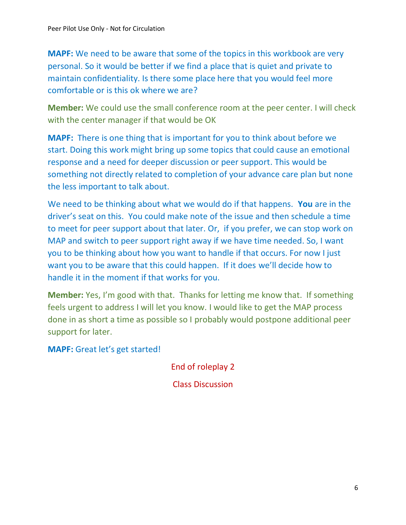**MAPF:** We need to be aware that some of the topics in this workbook are very personal. So it would be better if we find a place that is quiet and private to maintain confidentiality. Is there some place here that you would feel more comfortable or is this ok where we are?

**Member:** We could use the small conference room at the peer center. I will check with the center manager if that would be OK

**MAPF:** There is one thing that is important for you to think about before we start. Doing this work might bring up some topics that could cause an emotional response and a need for deeper discussion or peer support. This would be something not directly related to completion of your advance care plan but none the less important to talk about.

We need to be thinking about what we would do if that happens. **You** are in the driver's seat on this. You could make note of the issue and then schedule a time to meet for peer support about that later. Or, if you prefer, we can stop work on MAP and switch to peer support right away if we have time needed. So, I want you to be thinking about how you want to handle if that occurs. For now I just want you to be aware that this could happen. If it does we'll decide how to handle it in the moment if that works for you.

**Member:** Yes, I'm good with that. Thanks for letting me know that. If something feels urgent to address I will let you know. I would like to get the MAP process done in as short a time as possible so I probably would postpone additional peer support for later.

**MAPF:** Great let's get started!

End of roleplay 2

Class Discussion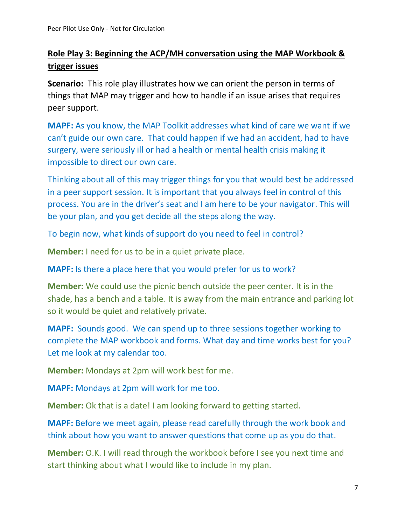# **Role Play 3: Beginning the ACP/MH conversation using the MAP Workbook & trigger issues**

**Scenario:** This role play illustrates how we can orient the person in terms of things that MAP may trigger and how to handle if an issue arises that requires peer support.

**MAPF:** As you know, the MAP Toolkit addresses what kind of care we want if we can't guide our own care. That could happen if we had an accident, had to have surgery, were seriously ill or had a health or mental health crisis making it impossible to direct our own care.

Thinking about all of this may trigger things for you that would best be addressed in a peer support session. It is important that you always feel in control of this process. You are in the driver's seat and I am here to be your navigator. This will be your plan, and you get decide all the steps along the way.

To begin now, what kinds of support do you need to feel in control?

**Member:** I need for us to be in a quiet private place.

**MAPF:** Is there a place here that you would prefer for us to work?

**Member:** We could use the picnic bench outside the peer center. It is in the shade, has a bench and a table. It is away from the main entrance and parking lot so it would be quiet and relatively private.

**MAPF:** Sounds good. We can spend up to three sessions together working to complete the MAP workbook and forms. What day and time works best for you? Let me look at my calendar too.

**Member:** Mondays at 2pm will work best for me.

**MAPF:** Mondays at 2pm will work for me too.

**Member:** Ok that is a date! I am looking forward to getting started.

**MAPF:** Before we meet again, please read carefully through the work book and think about how you want to answer questions that come up as you do that.

**Member:** O.K. I will read through the workbook before I see you next time and start thinking about what I would like to include in my plan.